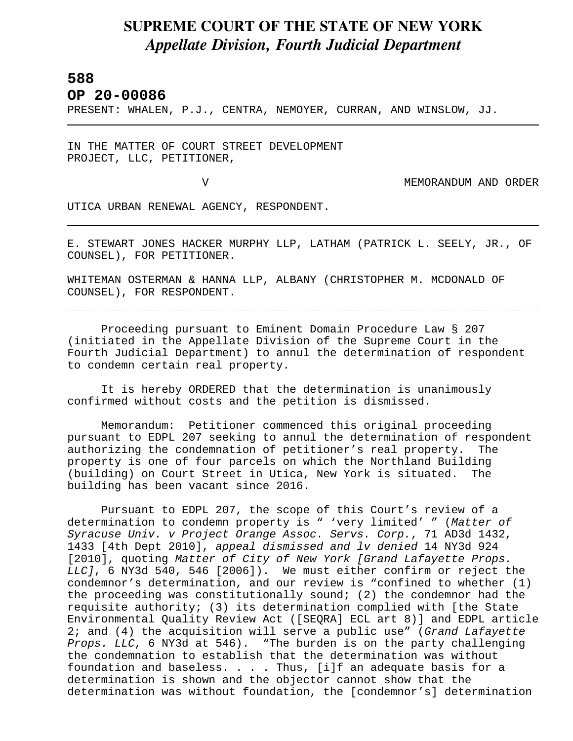## **SUPREME COURT OF THE STATE OF NEW YORK** *Appellate Division, Fourth Judicial Department*

## **588**

L

**OP 20-00086** 

PRESENT: WHALEN, P.J., CENTRA, NEMOYER, CURRAN, AND WINSLOW, JJ.

IN THE MATTER OF COURT STREET DEVELOPMENT PROJECT, LLC, PETITIONER,

V MEMORANDUM AND ORDER

UTICA URBAN RENEWAL AGENCY, RESPONDENT.

E. STEWART JONES HACKER MURPHY LLP, LATHAM (PATRICK L. SEELY, JR., OF COUNSEL), FOR PETITIONER.

WHITEMAN OSTERMAN & HANNA LLP, ALBANY (CHRISTOPHER M. MCDONALD OF COUNSEL), FOR RESPONDENT.

Proceeding pursuant to Eminent Domain Procedure Law § 207 (initiated in the Appellate Division of the Supreme Court in the Fourth Judicial Department) to annul the determination of respondent to condemn certain real property.

It is hereby ORDERED that the determination is unanimously confirmed without costs and the petition is dismissed.

Memorandum: Petitioner commenced this original proceeding pursuant to EDPL 207 seeking to annul the determination of respondent authorizing the condemnation of petitioner's real property. The property is one of four parcels on which the Northland Building (building) on Court Street in Utica, New York is situated. The building has been vacant since 2016.

Pursuant to EDPL 207, the scope of this Court's review of a determination to condemn property is " 'very limited' " (*Matter of Syracuse Univ. v Project Orange Assoc. Servs. Corp.*, 71 AD3d 1432, 1433 [4th Dept 2010], *appeal dismissed and lv denied* 14 NY3d 924 [2010], quoting *Matter of City of New York [Grand Lafayette Props. LLC]*, 6 NY3d 540, 546 [2006]). We must either confirm or reject the condemnor's determination, and our review is "confined to whether (1) the proceeding was constitutionally sound; (2) the condemnor had the requisite authority; (3) its determination complied with [the State Environmental Quality Review Act ([SEQRA] ECL art 8)] and EDPL article 2; and (4) the acquisition will serve a public use" (*Grand Lafayette Props. LLC*, 6 NY3d at 546). "The burden is on the party challenging the condemnation to establish that the determination was without foundation and baseless. . . . Thus, [i]f an adequate basis for a determination is shown and the objector cannot show that the determination was without foundation, the [condemnor's] determination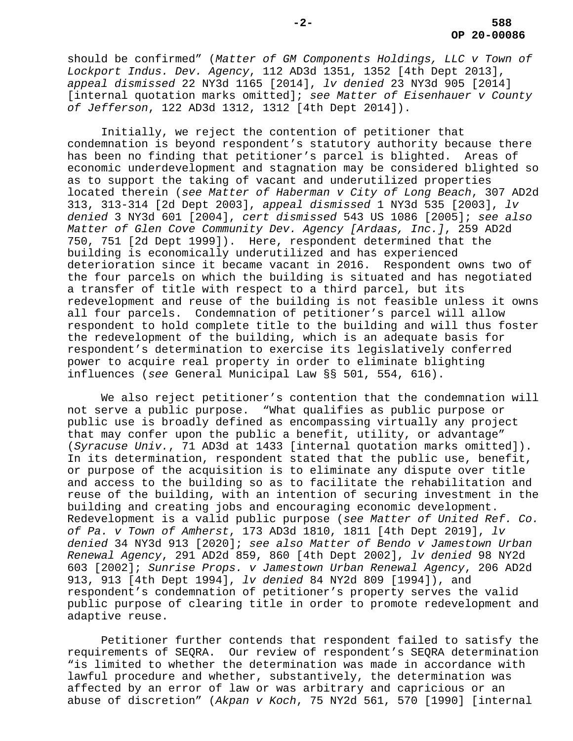should be confirmed" (*Matter of GM Components Holdings, LLC v Town of Lockport Indus. Dev. Agency*, 112 AD3d 1351, 1352 [4th Dept 2013], *appeal dismissed* 22 NY3d 1165 [2014], *lv denied* 23 NY3d 905 [2014] [internal quotation marks omitted]; *see Matter of Eisenhauer v County of Jefferson*, 122 AD3d 1312, 1312 [4th Dept 2014]).

Initially, we reject the contention of petitioner that condemnation is beyond respondent's statutory authority because there has been no finding that petitioner's parcel is blighted. Areas of economic underdevelopment and stagnation may be considered blighted so as to support the taking of vacant and underutilized properties located therein (*see Matter of Haberman v City of Long Beach*, 307 AD2d 313, 313-314 [2d Dept 2003], *appeal dismissed* 1 NY3d 535 [2003], *lv denied* 3 NY3d 601 [2004], *cert dismissed* 543 US 1086 [2005]; *see also Matter of Glen Cove Community Dev. Agency [Ardaas, Inc.]*, 259 AD2d 750, 751 [2d Dept 1999]). Here, respondent determined that the building is economically underutilized and has experienced deterioration since it became vacant in 2016. Respondent owns two of the four parcels on which the building is situated and has negotiated a transfer of title with respect to a third parcel, but its redevelopment and reuse of the building is not feasible unless it owns all four parcels. Condemnation of petitioner's parcel will allow respondent to hold complete title to the building and will thus foster the redevelopment of the building, which is an adequate basis for respondent's determination to exercise its legislatively conferred power to acquire real property in order to eliminate blighting influences (*see* General Municipal Law §§ 501, 554, 616).

We also reject petitioner's contention that the condemnation will not serve a public purpose. "What qualifies as public purpose or public use is broadly defined as encompassing virtually any project that may confer upon the public a benefit, utility, or advantage" (*Syracuse Univ.*, 71 AD3d at 1433 [internal quotation marks omitted]). In its determination, respondent stated that the public use, benefit, or purpose of the acquisition is to eliminate any dispute over title and access to the building so as to facilitate the rehabilitation and reuse of the building, with an intention of securing investment in the building and creating jobs and encouraging economic development. Redevelopment is a valid public purpose (*see Matter of United Ref. Co. of Pa. v Town of Amherst*, 173 AD3d 1810, 1811 [4th Dept 2019], *lv denied* 34 NY3d 913 [2020]; *see also Matter of Bendo v Jamestown Urban Renewal Agency*, 291 AD2d 859, 860 [4th Dept 2002], *lv denied* 98 NY2d 603 [2002]; *Sunrise Props. v Jamestown Urban Renewal Agency*, 206 AD2d 913, 913 [4th Dept 1994], *lv denied* 84 NY2d 809 [1994]), and respondent's condemnation of petitioner's property serves the valid public purpose of clearing title in order to promote redevelopment and adaptive reuse.

Petitioner further contends that respondent failed to satisfy the requirements of SEQRA. Our review of respondent's SEQRA determination "is limited to whether the determination was made in accordance with lawful procedure and whether, substantively, the determination was affected by an error of law or was arbitrary and capricious or an abuse of discretion" (*Akpan v Koch*, 75 NY2d 561, 570 [1990] [internal